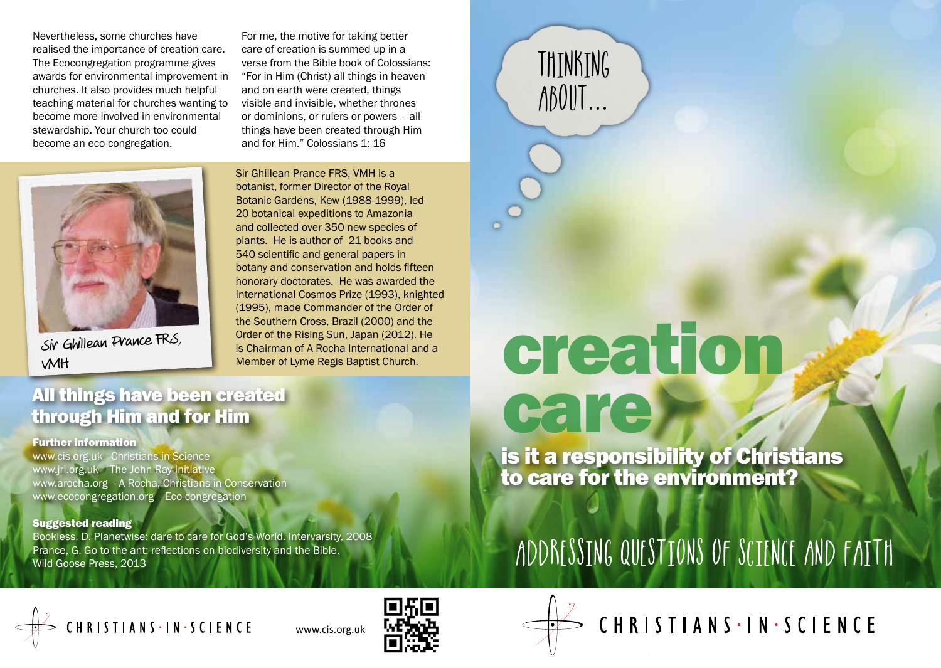Nevertheless, some churches have realised the importance of creation care. The Ecocongregation programme gives awards for environmental improvement in churches. It also provides much helpful teaching material for churches wanting to become more involved in environmental stewardship. Your church too could become an eco-congregation.

For me, the motive for taking better care of creation is summed up in a verse from the Bible book of Colossians: "For in Him (Christ) all things in heaven and on earth were created, things visible and invisible, whether thrones or dominions, or rulers or powers – all things have been created through Him and for Him." Colossians 1: 16



Sir Ghillean Prance FRS, VMH

Sir Ghillean Prance FRS, VMH is a botanist, former Director of the Royal Botanic Gardens, Kew (1988-1999), led 20 botanical expeditions to Amazonia and collected over 350 new species of plants. He is author of 21 books and 540 scientific and general papers in botany and conservation and holds fifteen honorary doctorates. He was awarded the International Cosmos Prize (1993), knighted (1995), made Commander of the Order of the Southern Cross, Brazil (2000) and the Order of the Rising Sun, Japan (2012). He is Chairman of A Rocha International and a Member of Lyme Regis Baptist Church.

## All things have been created through Him and for Him

#### Further information

www.cis.org.uk - Christians in Science www.jri.org.uk - The John Ray Initiative www.arocha.org - A Rocha, Christians in Conservation www.ecocongregation.org - Eco-congregation

### Suggested reading

Bookless, D. Planetwise: dare to care for God's World. Intervarsity, 2008 Prance, G. Go to the ant: reflections on biodiversity and the Bible, Wild Goose Press, 2013

# creation care

THINKING

ABOUT...

is it a responsibility of Christians to care for the environment?

# ADDRESSING QUESTIONS OF SCIENCE AND FAITH









CHRISTIANS - IN - SCIENCE